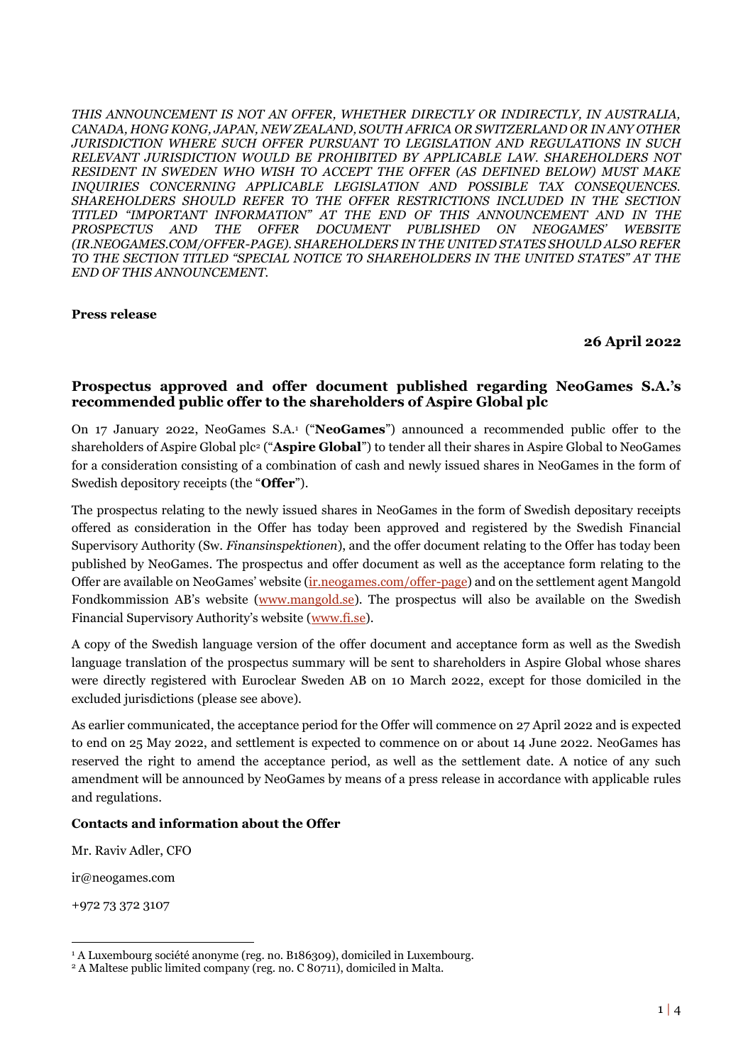*THIS ANNOUNCEMENT IS NOT AN OFFER, WHETHER DIRECTLY OR INDIRECTLY, IN AUSTRALIA, CANADA, HONG KONG, JAPAN, NEW ZEALAND, SOUTH AFRICA OR SWITZERLAND OR IN ANY OTHER JURISDICTION WHERE SUCH OFFER PURSUANT TO LEGISLATION AND REGULATIONS IN SUCH RELEVANT JURISDICTION WOULD BE PROHIBITED BY APPLICABLE LAW. SHAREHOLDERS NOT RESIDENT IN SWEDEN WHO WISH TO ACCEPT THE OFFER (AS DEFINED BELOW) MUST MAKE INQUIRIES CONCERNING APPLICABLE LEGISLATION AND POSSIBLE TAX CONSEQUENCES. SHAREHOLDERS SHOULD REFER TO THE OFFER RESTRICTIONS INCLUDED IN THE SECTION TITLED "IMPORTANT INFORMATION" AT THE END OF THIS ANNOUNCEMENT AND IN THE PROSPECTUS AND THE OFFER DOCUMENT PUBLISHED ON NEOGAMES' WEBSITE (IR.NEOGAMES.COM/OFFER-PAGE). SHAREHOLDERS IN THE UNITED STATES SHOULD ALSO REFER TO THE SECTION TITLED "SPECIAL NOTICE TO SHAREHOLDERS IN THE UNITED STATES" AT THE END OF THIS ANNOUNCEMENT.*

#### **Press release**

#### **26 April 2022**

## **Prospectus approved and offer document published regarding NeoGames S.A.'s recommended public offer to the shareholders of Aspire Global plc**

On 17 January 2022, NeoGames S.A.<sup>1</sup> ("**NeoGames**") announced a recommended public offer to the shareholders of Aspire Global plc<sup>2</sup> ("**Aspire Global**") to tender all their shares in Aspire Global to NeoGames for a consideration consisting of a combination of cash and newly issued shares in NeoGames in the form of Swedish depository receipts (the "**Offer**").

The prospectus relating to the newly issued shares in NeoGames in the form of Swedish depositary receipts offered as consideration in the Offer has today been approved and registered by the Swedish Financial Supervisory Authority (Sw. *Finansinspektionen*), and the offer document relating to the Offer has today been published by NeoGames. The prospectus and offer document as well as the acceptance form relating to the Offer are available on NeoGames' website [\(ir.neogames.com/offer-page\)](file:///C:/Users/Tevelldefalck_M/AppData/Roaming/iManage/Work/Recent/Neogames%20SA-20211423-Project%20Connect/ir.neogames.com/offer-page) and on the settlement agent Mangold Fondkommission AB's website [\(www.mangold.se\)](http://www.mangold.se/). The prospectus will also be available on the Swedish Financial Supervisory Authority's website ([www.fi.se\)](http://www.fi.se/).

A copy of the Swedish language version of the offer document and acceptance form as well as the Swedish language translation of the prospectus summary will be sent to shareholders in Aspire Global whose shares were directly registered with Euroclear Sweden AB on 10 March 2022, except for those domiciled in the excluded jurisdictions (please see above).

As earlier communicated, the acceptance period for the Offer will commence on 27 April 2022 and is expected to end on 25 May 2022, and settlement is expected to commence on or about 14 June 2022. NeoGames has reserved the right to amend the acceptance period, as well as the settlement date. A notice of any such amendment will be announced by NeoGames by means of a press release in accordance with applicable rules and regulations.

### **Contacts and information about the Offer**

Mr. Raviv Adler, CFO

ir@neogames.com

+972 73 372 3107

<sup>&</sup>lt;sup>1</sup> A Luxembourg société anonyme (reg. no. B186309), domiciled in Luxembourg.

<sup>2</sup> A Maltese public limited company (reg. no. C 80711), domiciled in Malta.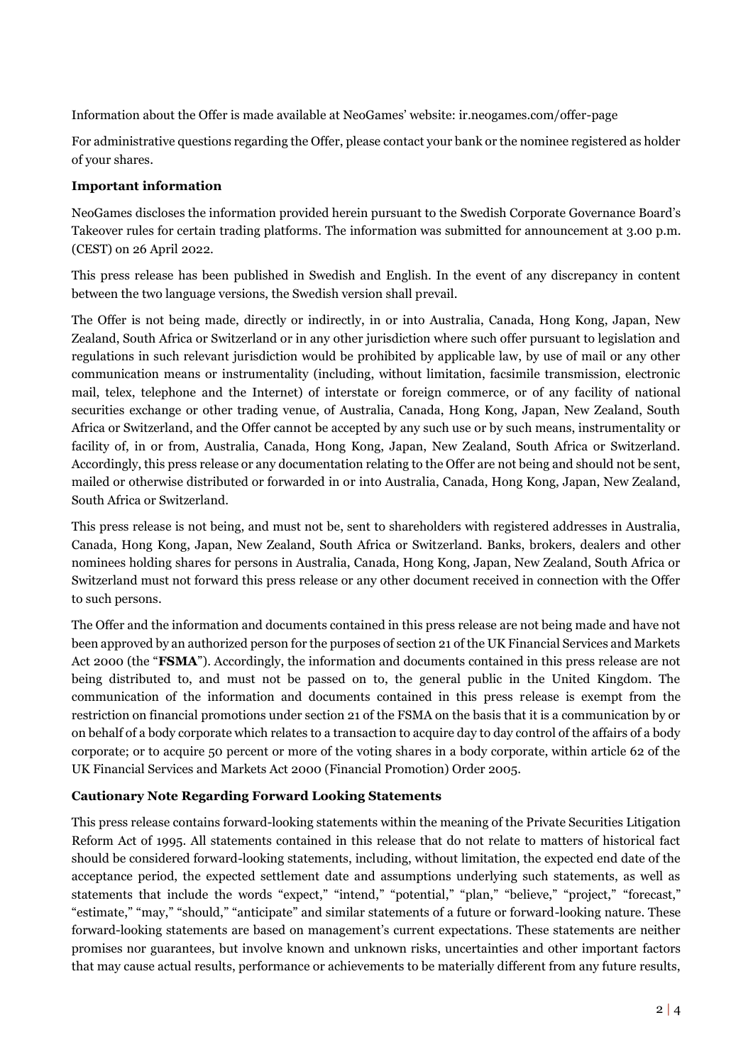Information about the Offer is made available at NeoGames' website: ir.neogames.com/offer-page

For administrative questions regarding the Offer, please contact your bank or the nominee registered as holder of your shares.

# **Important information**

NeoGames discloses the information provided herein pursuant to the Swedish Corporate Governance Board's Takeover rules for certain trading platforms. The information was submitted for announcement at 3.00 p.m. (CEST) on 26 April 2022.

This press release has been published in Swedish and English. In the event of any discrepancy in content between the two language versions, the Swedish version shall prevail.

The Offer is not being made, directly or indirectly, in or into Australia, Canada, Hong Kong, Japan, New Zealand, South Africa or Switzerland or in any other jurisdiction where such offer pursuant to legislation and regulations in such relevant jurisdiction would be prohibited by applicable law, by use of mail or any other communication means or instrumentality (including, without limitation, facsimile transmission, electronic mail, telex, telephone and the Internet) of interstate or foreign commerce, or of any facility of national securities exchange or other trading venue, of Australia, Canada, Hong Kong, Japan, New Zealand, South Africa or Switzerland, and the Offer cannot be accepted by any such use or by such means, instrumentality or facility of, in or from, Australia, Canada, Hong Kong, Japan, New Zealand, South Africa or Switzerland. Accordingly, this press release or any documentation relating to the Offer are not being and should not be sent, mailed or otherwise distributed or forwarded in or into Australia, Canada, Hong Kong, Japan, New Zealand, South Africa or Switzerland.

This press release is not being, and must not be, sent to shareholders with registered addresses in Australia, Canada, Hong Kong, Japan, New Zealand, South Africa or Switzerland. Banks, brokers, dealers and other nominees holding shares for persons in Australia, Canada, Hong Kong, Japan, New Zealand, South Africa or Switzerland must not forward this press release or any other document received in connection with the Offer to such persons.

The Offer and the information and documents contained in this press release are not being made and have not been approved by an authorized person for the purposes of section 21 of the UK Financial Services and Markets Act 2000 (the "**FSMA**"). Accordingly, the information and documents contained in this press release are not being distributed to, and must not be passed on to, the general public in the United Kingdom. The communication of the information and documents contained in this press release is exempt from the restriction on financial promotions under section 21 of the FSMA on the basis that it is a communication by or on behalf of a body corporate which relates to a transaction to acquire day to day control of the affairs of a body corporate; or to acquire 50 percent or more of the voting shares in a body corporate, within article 62 of the UK Financial Services and Markets Act 2000 (Financial Promotion) Order 2005.

# **Cautionary Note Regarding Forward Looking Statements**

This press release contains forward-looking statements within the meaning of the Private Securities Litigation Reform Act of 1995. All statements contained in this release that do not relate to matters of historical fact should be considered forward-looking statements, including, without limitation, the expected end date of the acceptance period, the expected settlement date and assumptions underlying such statements, as well as statements that include the words "expect," "intend," "potential," "plan," "believe," "project," "forecast," "estimate," "may," "should," "anticipate" and similar statements of a future or forward-looking nature. These forward-looking statements are based on management's current expectations. These statements are neither promises nor guarantees, but involve known and unknown risks, uncertainties and other important factors that may cause actual results, performance or achievements to be materially different from any future results,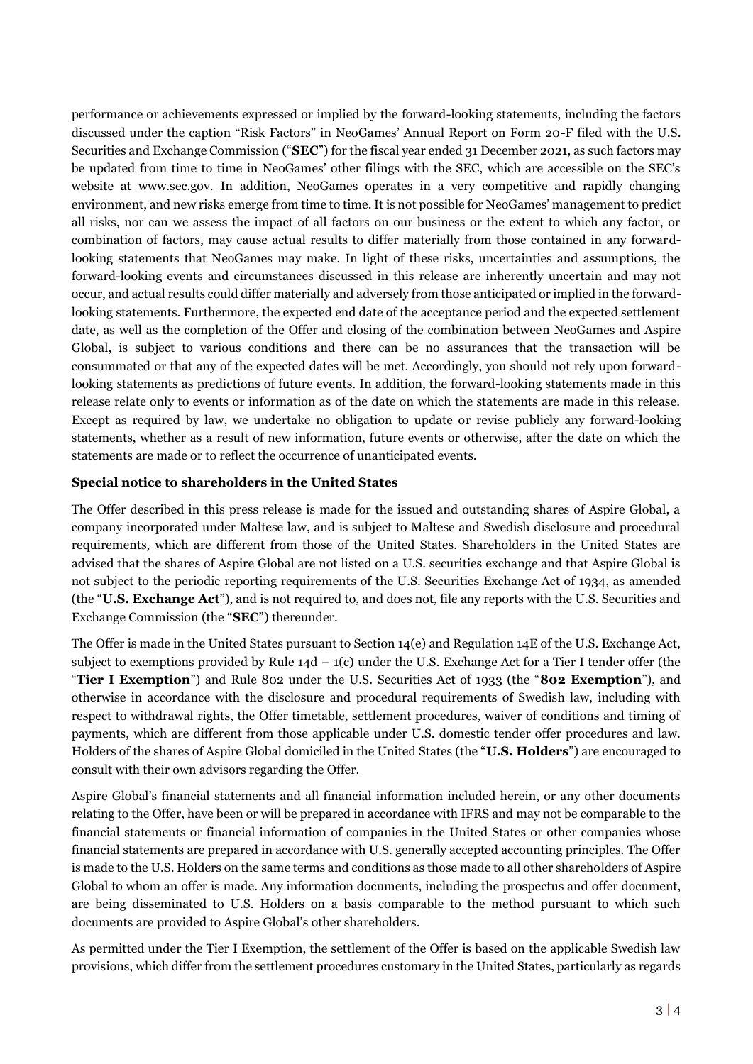performance or achievements expressed or implied by the forward-looking statements, including the factors discussed under the caption "Risk Factors" in NeoGames' Annual Report on Form 20-F filed with the U.S. Securities and Exchange Commission ("**SEC**") for the fiscal year ended 31 December 2021, as such factors may be updated from time to time in NeoGames' other filings with the SEC, which are accessible on the SEC's website at www.sec.gov. In addition, NeoGames operates in a very competitive and rapidly changing environment, and new risks emerge from time to time. It is not possible for NeoGames' management to predict all risks, nor can we assess the impact of all factors on our business or the extent to which any factor, or combination of factors, may cause actual results to differ materially from those contained in any forwardlooking statements that NeoGames may make. In light of these risks, uncertainties and assumptions, the forward-looking events and circumstances discussed in this release are inherently uncertain and may not occur, and actual results could differ materially and adversely from those anticipated or implied in the forwardlooking statements. Furthermore, the expected end date of the acceptance period and the expected settlement date, as well as the completion of the Offer and closing of the combination between NeoGames and Aspire Global, is subject to various conditions and there can be no assurances that the transaction will be consummated or that any of the expected dates will be met. Accordingly, you should not rely upon forwardlooking statements as predictions of future events. In addition, the forward-looking statements made in this release relate only to events or information as of the date on which the statements are made in this release. Except as required by law, we undertake no obligation to update or revise publicly any forward-looking statements, whether as a result of new information, future events or otherwise, after the date on which the statements are made or to reflect the occurrence of unanticipated events.

### **Special notice to shareholders in the United States**

The Offer described in this press release is made for the issued and outstanding shares of Aspire Global, a company incorporated under Maltese law, and is subject to Maltese and Swedish disclosure and procedural requirements, which are different from those of the United States. Shareholders in the United States are advised that the shares of Aspire Global are not listed on a U.S. securities exchange and that Aspire Global is not subject to the periodic reporting requirements of the U.S. Securities Exchange Act of 1934, as amended (the "**U.S. Exchange Act**"), and is not required to, and does not, file any reports with the U.S. Securities and Exchange Commission (the "**SEC**") thereunder.

The Offer is made in the United States pursuant to Section 14(e) and Regulation 14E of the U.S. Exchange Act, subject to exemptions provided by Rule  $14d - 1(c)$  under the U.S. Exchange Act for a Tier I tender offer (the "**Tier I Exemption**") and Rule 802 under the U.S. Securities Act of 1933 (the "**802 Exemption**"), and otherwise in accordance with the disclosure and procedural requirements of Swedish law, including with respect to withdrawal rights, the Offer timetable, settlement procedures, waiver of conditions and timing of payments, which are different from those applicable under U.S. domestic tender offer procedures and law. Holders of the shares of Aspire Global domiciled in the United States (the "**U.S. Holders**") are encouraged to consult with their own advisors regarding the Offer.

Aspire Global's financial statements and all financial information included herein, or any other documents relating to the Offer, have been or will be prepared in accordance with IFRS and may not be comparable to the financial statements or financial information of companies in the United States or other companies whose financial statements are prepared in accordance with U.S. generally accepted accounting principles. The Offer is made to the U.S. Holders on the same terms and conditions as those made to all other shareholders of Aspire Global to whom an offer is made. Any information documents, including the prospectus and offer document, are being disseminated to U.S. Holders on a basis comparable to the method pursuant to which such documents are provided to Aspire Global's other shareholders.

As permitted under the Tier I Exemption, the settlement of the Offer is based on the applicable Swedish law provisions, which differ from the settlement procedures customary in the United States, particularly as regards